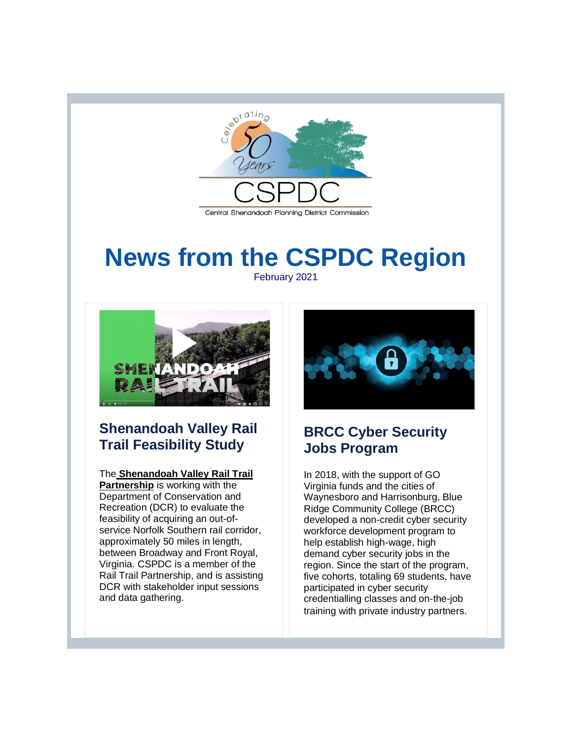

# **News from the CSPDC Region** February 2021



# **Shenandoah Valley Rail Trail Feasibility Study**

#### The **[Shenandoah Valley Rail Trail](http://r20.rs6.net/tn.jsp?f=001CkwHcRpvC3JiVpQGzrvzQ3TWY__7raBmXB9t-VBNg3mwTUHraiJFwVT_jGcf8pMgZxtAS6XpWGdqQJHzR9cvLSLohQj5olOH9yGk1UdBb5H-47jLBOk3j4yiT-x0DLghchtAoDygK-40oPNeJDNNqc_3zSlfNDEH6sZGVI_8E-fJRmFzP8Gt1XeWpXaCDaEsrSfAFX6N7Tk=&c=8kG6adtjaB6EAnIQeWeDHewX5-tcFUgC80--rgpusp-PHY5DRU803w==&ch=9xEXbj3NkAtnutKCeiV59uBGK83zvCkQNCNJOjo4wOYGcVaWl5ZLBQ==)**

**[Partnership](http://r20.rs6.net/tn.jsp?f=001CkwHcRpvC3JiVpQGzrvzQ3TWY__7raBmXB9t-VBNg3mwTUHraiJFwVT_jGcf8pMgZxtAS6XpWGdqQJHzR9cvLSLohQj5olOH9yGk1UdBb5H-47jLBOk3j4yiT-x0DLghchtAoDygK-40oPNeJDNNqc_3zSlfNDEH6sZGVI_8E-fJRmFzP8Gt1XeWpXaCDaEsrSfAFX6N7Tk=&c=8kG6adtjaB6EAnIQeWeDHewX5-tcFUgC80--rgpusp-PHY5DRU803w==&ch=9xEXbj3NkAtnutKCeiV59uBGK83zvCkQNCNJOjo4wOYGcVaWl5ZLBQ==)** is working with the Department of Conservation and Recreation (DCR) to evaluate the feasibility of acquiring an out-ofservice Norfolk Southern rail corridor, approximately 50 miles in length, between Broadway and Front Royal, Virginia. CSPDC is a member of the Rail Trail Partnership, and is assisting DCR with stakeholder input sessions and data gathering.



## **BRCC Cyber Security Jobs Program**

In 2018, with the support of GO Virginia funds and the cities of Waynesboro and Harrisonburg, Blue Ridge Community College (BRCC) developed a non-credit cyber security workforce development program to help establish high-wage, high demand cyber security jobs in the region. Since the start of the program, five cohorts, totaling 69 students, have participated in cyber security credentialling classes and on-the-job training with private industry partners.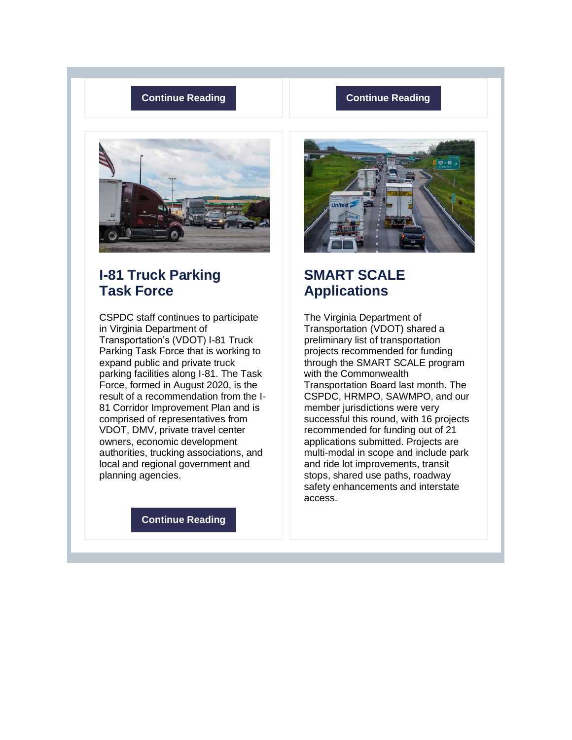#### **[Continue Reading](http://r20.rs6.net/tn.jsp?f=001CkwHcRpvC3JiVpQGzrvzQ3TWY__7raBmXB9t-VBNg3mwTUHraiJFwVT_jGcf8pMgL3GUzT8D-9walFsoMnwKQJGpMGzsrT-w2b9WmuC2OJs3CZeFMq444Wi_AVWPgKR6Vi9rmUL45js6aE16veibGKLqsHFBQgMIKqrKVVDr53yUJoUoMpcCyu2q2KLWJ84YQDH17xavSgOG9KcgaPi0KUJKuoSrYEkZ95VOJikYr5o=&c=8kG6adtjaB6EAnIQeWeDHewX5-tcFUgC80--rgpusp-PHY5DRU803w==&ch=9xEXbj3NkAtnutKCeiV59uBGK83zvCkQNCNJOjo4wOYGcVaWl5ZLBQ==) [Continue Reading](http://r20.rs6.net/tn.jsp?f=001CkwHcRpvC3JiVpQGzrvzQ3TWY__7raBmXB9t-VBNg3mwTUHraiJFwVT_jGcf8pMgXxEuluYtaHsl89wh3EkdEwPJEpeXFw9o7chviXZWxTdoWksxqT8tOykjbltobHIM2GQw8RPWeeLxV5WKWyvWH-PJVfQjv-eJ05lSr5AvZhcAzoZAkLhMQLki6Sef1GiDviSZjOF742Tb0ZKrCog3bw==&c=8kG6adtjaB6EAnIQeWeDHewX5-tcFUgC80--rgpusp-PHY5DRU803w==&ch=9xEXbj3NkAtnutKCeiV59uBGK83zvCkQNCNJOjo4wOYGcVaWl5ZLBQ==)**



# **I-81 Truck Parking Task Force**

CSPDC staff continues to participate in Virginia Department of Transportation's (VDOT) I-81 Truck Parking Task Force that is working to expand public and private truck parking facilities along I-81. The Task Force, formed in August 2020, is the result of a recommendation from the I-81 Corridor Improvement Plan and is comprised of representatives from VDOT, DMV, private travel center owners, economic development authorities, trucking associations, and local and regional government and planning agencies.

**[Continue Reading](http://r20.rs6.net/tn.jsp?f=001CkwHcRpvC3JiVpQGzrvzQ3TWY__7raBmXB9t-VBNg3mwTUHraiJFwVT_jGcf8pMgykibtkKaqiPcVEz3VS6UKJfydTfN_3aZfEVzEreVtmQ6qIYbPFikqDdxjvf9ftoacIKfwzj95Lm3rGEKkOp9bbEfvbnngd_dEs7q8Wp0LvChV8pr4wuPRzwdS-XIxAbgBeqivaN5bQrTefCWb_9jAw==&c=8kG6adtjaB6EAnIQeWeDHewX5-tcFUgC80--rgpusp-PHY5DRU803w==&ch=9xEXbj3NkAtnutKCeiV59uBGK83zvCkQNCNJOjo4wOYGcVaWl5ZLBQ==)**



## **SMART SCALE Applications**

The Virginia Department of Transportation (VDOT) shared a preliminary list of transportation projects recommended for funding through the SMART SCALE program with the Commonwealth Transportation Board last month. The CSPDC, HRMPO, SAWMPO, and our member jurisdictions were very successful this round, with 16 projects recommended for funding out of 21 applications submitted. Projects are multi-modal in scope and include park and ride lot improvements, transit stops, shared use paths, roadway safety enhancements and interstate access.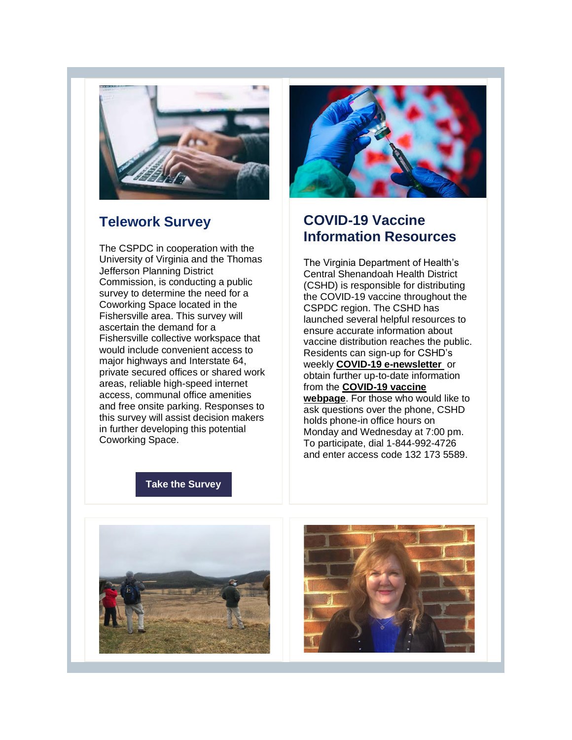

#### **Telework Survey**

The CSPDC in cooperation with the University of Virginia and the Thomas Jefferson Planning District Commission, is conducting a public survey to determine the need for a Coworking Space located in the Fishersville area. This survey will ascertain the demand for a Fishersville collective workspace that would include convenient access to major highways and Interstate 64, private secured offices or shared work areas, reliable high-speed internet access, communal office amenities and free onsite parking. Responses to this survey will assist decision makers in further developing this potential Coworking Space.



## **COVID-19 Vaccine Information Resources**

The Virginia Department of Health's Central Shenandoah Health District (CSHD) is responsible for distributing the COVID-19 vaccine throughout the CSPDC region. The CSHD has launched several helpful resources to ensure accurate information about vaccine distribution reaches the public. Residents can sign-up for CSHD's weekly **[COVID-19 e-newsletter](http://r20.rs6.net/tn.jsp?f=001CkwHcRpvC3JiVpQGzrvzQ3TWY__7raBmXB9t-VBNg3mwTUHraiJFwVT_jGcf8pMgGY6kg54B8vknUBeWX0sjC5oYd2p25CfOc3aRayrW9zD6v-EHmRrq15vVVueRn8nqCG9Jzx6KkE85G_zl8OMrFY2qEbTXiGyBlbM9sohKUGK0uPaqOatIHHDMYdi7O21R3RHbSWbKz400yPIU9b2D1CE6uXOXoE1Pnij7qUmKmq7Y8EqiKRJfq9BO4yrKXB-25vgLtxT2cE-ll1qyci1rytcvHSVgTaqQFUVwxmLLUw7lJB7Bh6kAmGFxt3eV4qZVT33CHxTsZYdVoqp7XJvqyxo-m7_T7urTfK8EPsc7Yc2jWW1ieAfkxEXwQdT1uP1vrgCDj8jhyuKCU6FopVpS1hSyX3C5szjvLIMfpcSoKc9pAgpkXcc4G3K2ZcewW1eT4yA3nkvXpx_7f5DNrZtw2LDe5AQDSS1JvDpvVMfNtqPGUQIYN7lEy50Eq-6M94Yh&c=8kG6adtjaB6EAnIQeWeDHewX5-tcFUgC80--rgpusp-PHY5DRU803w==&ch=9xEXbj3NkAtnutKCeiV59uBGK83zvCkQNCNJOjo4wOYGcVaWl5ZLBQ==)** or obtain further up-to-date information from the **[COVID-19 vaccine](http://r20.rs6.net/tn.jsp?f=001CkwHcRpvC3JiVpQGzrvzQ3TWY__7raBmXB9t-VBNg3mwTUHraiJFwVT_jGcf8pMgFU1VO5yBZfA_m7b65aHggqUaYdSAGKfclBIDqvoe0WavOeDIOxQNyKpH_4t3cBbdA36vF-5Oqt0Hsf6hngJaAqFS7IEmNMLKPJEZD4cNY9F02O1Kw7GLBG-eCzcKYcm3Zx6JKTOfzr0yTu8hA46rkS7Lso1AbmRv&c=8kG6adtjaB6EAnIQeWeDHewX5-tcFUgC80--rgpusp-PHY5DRU803w==&ch=9xEXbj3NkAtnutKCeiV59uBGK83zvCkQNCNJOjo4wOYGcVaWl5ZLBQ==)  [webpage](http://r20.rs6.net/tn.jsp?f=001CkwHcRpvC3JiVpQGzrvzQ3TWY__7raBmXB9t-VBNg3mwTUHraiJFwVT_jGcf8pMgFU1VO5yBZfA_m7b65aHggqUaYdSAGKfclBIDqvoe0WavOeDIOxQNyKpH_4t3cBbdA36vF-5Oqt0Hsf6hngJaAqFS7IEmNMLKPJEZD4cNY9F02O1Kw7GLBG-eCzcKYcm3Zx6JKTOfzr0yTu8hA46rkS7Lso1AbmRv&c=8kG6adtjaB6EAnIQeWeDHewX5-tcFUgC80--rgpusp-PHY5DRU803w==&ch=9xEXbj3NkAtnutKCeiV59uBGK83zvCkQNCNJOjo4wOYGcVaWl5ZLBQ==)**. For those who would like to ask questions over the phone, CSHD holds phone-in office hours on Monday and Wednesday at 7:00 pm. To participate, dial 1-844-992-4726 and enter access code 132 173 5589.

#### **[Take the Survey](http://r20.rs6.net/tn.jsp?f=001CkwHcRpvC3JiVpQGzrvzQ3TWY__7raBmXB9t-VBNg3mwTUHraiJFwVT_jGcf8pMgkxIV3LDuhvlmA66vpyV5oOVBW06YHcrEUoFmaNbFlIRVSWoBIx4MK1IOVkg44hsgiSSTYfAEqWX2EiUVGQBmkGd-7ibcwvIkCFjuoFiT4m66dCPMExyh10psV358p-c8cx_ycVgLjD8Vd61EMBjvqWAOAJt6PlcPdpJVh-BW1Y6S2XEMNhMAmX_vZT2-rpMRmIShn8Ssvf0LRHh1Zjts76Zu2B4nKjWjbnzNyUXAsec=&c=8kG6adtjaB6EAnIQeWeDHewX5-tcFUgC80--rgpusp-PHY5DRU803w==&ch=9xEXbj3NkAtnutKCeiV59uBGK83zvCkQNCNJOjo4wOYGcVaWl5ZLBQ==)**



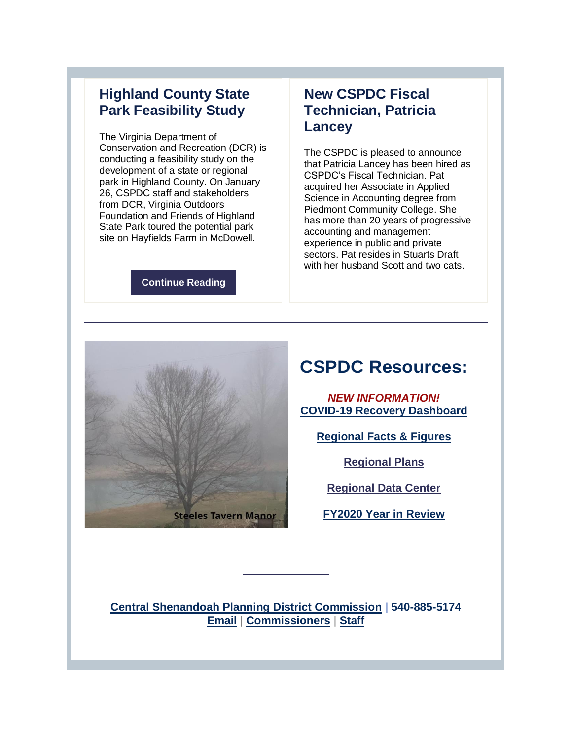## **Highland County State Park Feasibility Study**

The Virginia Department of Conservation and Recreation (DCR) is conducting a feasibility study on the development of a state or regional park in Highland County. On January 26, CSPDC staff and stakeholders from DCR, Virginia Outdoors Foundation and Friends of Highland State Park toured the potential park site on Hayfields Farm in McDowell.

#### **[Continue Reading](http://r20.rs6.net/tn.jsp?f=001CkwHcRpvC3JiVpQGzrvzQ3TWY__7raBmXB9t-VBNg3mwTUHraiJFwVT_jGcf8pMgzQ3Ibq9X6C4i5x9j8pWO54y35NnutBfQwxi2O1AUCLwmCIgtbYIJxrm2PgCyT4ROcHlXYRH3MdA4y6fwZ20hQohS_Pi3ZKKL1CDJkhmex4H9jGg-gcmcfS9wrs4gvJmWwJm0xwpAP5xjnCYVNrjY44Xp6lDWQ9yY&c=8kG6adtjaB6EAnIQeWeDHewX5-tcFUgC80--rgpusp-PHY5DRU803w==&ch=9xEXbj3NkAtnutKCeiV59uBGK83zvCkQNCNJOjo4wOYGcVaWl5ZLBQ==)**

## **New CSPDC Fiscal Technician, Patricia Lancey**

The CSPDC is pleased to announce that Patricia Lancey has been hired as CSPDC's Fiscal Technician. Pat acquired her Associate in Applied Science in Accounting degree from Piedmont Community College. She has more than 20 years of progressive accounting and management experience in public and private sectors. Pat resides in Stuarts Draft with her husband Scott and two cats.



# **CSPDC Resources:**

*NEW INFORMATION!* **[COVID-19 Recovery Dashboard](http://r20.rs6.net/tn.jsp?f=001CkwHcRpvC3JiVpQGzrvzQ3TWY__7raBmXB9t-VBNg3mwTUHraiJFwX0LqEAU0Bspkp59iwC9z8meo163le5OvjtZPOJ7FoEq5hLjgzlUpcEP6kD7Yx71ambCRGHO_d_0vBIc-d4ohfcNrMO20pAEnRafI_WL-86SyT91gPEbVBc=&c=8kG6adtjaB6EAnIQeWeDHewX5-tcFUgC80--rgpusp-PHY5DRU803w==&ch=9xEXbj3NkAtnutKCeiV59uBGK83zvCkQNCNJOjo4wOYGcVaWl5ZLBQ==)**

**[Regional Facts & Figures](http://r20.rs6.net/tn.jsp?f=001CkwHcRpvC3JiVpQGzrvzQ3TWY__7raBmXB9t-VBNg3mwTUHraiJFwbTAb4BY061AktbiH2WiTbEYLGUqSxw9IAZqtsdUuu-VHpgeoNl03Ozy5jfd4FoBGw62yGDBIBXNBo66L-xP5oCNAJb-XB18fVINSFs4gfvq&c=8kG6adtjaB6EAnIQeWeDHewX5-tcFUgC80--rgpusp-PHY5DRU803w==&ch=9xEXbj3NkAtnutKCeiV59uBGK83zvCkQNCNJOjo4wOYGcVaWl5ZLBQ==)** 

**[Regional Plans](http://r20.rs6.net/tn.jsp?f=001CkwHcRpvC3JiVpQGzrvzQ3TWY__7raBmXB9t-VBNg3mwTUHraiJFwRozLCUTNAYMDsKusB4jOjpGFBAan4OVE9SGhq1VU78qbuJUs0A26GI73zVdotz2y4jO-YOLDVLNuLuqqmx6QSJEaLOsknrecN-QUfgENv9B&c=8kG6adtjaB6EAnIQeWeDHewX5-tcFUgC80--rgpusp-PHY5DRU803w==&ch=9xEXbj3NkAtnutKCeiV59uBGK83zvCkQNCNJOjo4wOYGcVaWl5ZLBQ==)** 

**[Regional Data Center](http://r20.rs6.net/tn.jsp?f=001CkwHcRpvC3JiVpQGzrvzQ3TWY__7raBmXB9t-VBNg3mwTUHraiJFwRozLCUTNAYMKg7dazDByqLtZNO1XtLWXT2FSfhizr5cCuhsqsH6o2IfXxRi1nHX2ckwKUzgaEXDE3CDg92vM_rLfzalfG1GOhVBtwhCtX_T&c=8kG6adtjaB6EAnIQeWeDHewX5-tcFUgC80--rgpusp-PHY5DRU803w==&ch=9xEXbj3NkAtnutKCeiV59uBGK83zvCkQNCNJOjo4wOYGcVaWl5ZLBQ==)**

**[FY2020 Year in Review](http://r20.rs6.net/tn.jsp?f=001CkwHcRpvC3JiVpQGzrvzQ3TWY__7raBmXB9t-VBNg3mwTUHraiJFwRHWtlQbB-GRpr6bCFMYXmiaaIsvq2tX5lFtJ8Dj6iLgMD7bzMgwgVx4kJ73q_LvY2eTrevKwyH-52yWJHwxoCZaQVHV4RX0wPyii1IYdIGUoZWOnBQbe4jdRR9l2rcWpeCnR1fhJTuYVQvpQXfn2q1VLahe39FS7EO9FiStTLt5K0wK9BA5a1U=&c=8kG6adtjaB6EAnIQeWeDHewX5-tcFUgC80--rgpusp-PHY5DRU803w==&ch=9xEXbj3NkAtnutKCeiV59uBGK83zvCkQNCNJOjo4wOYGcVaWl5ZLBQ==)**

**[Central Shenandoah Planning District Commission](http://r20.rs6.net/tn.jsp?f=001CkwHcRpvC3JiVpQGzrvzQ3TWY__7raBmXB9t-VBNg3mwTUHraiJFwYQL4Q_aWXPGZHYXwHS4eJ2Q21t8tiRAhL_RZCF-seSMMIeLdTAVxtHKbiJ4oxLDzM3kiWfv_GfLobdLJ77HuRh4-3cMUmQSBQ==&c=8kG6adtjaB6EAnIQeWeDHewX5-tcFUgC80--rgpusp-PHY5DRU803w==&ch=9xEXbj3NkAtnutKCeiV59uBGK83zvCkQNCNJOjo4wOYGcVaWl5ZLBQ==)** | **540-885-5174 [Email](mailto:kimberly@cspdc.org)** | **[Commissioners](http://r20.rs6.net/tn.jsp?f=001CkwHcRpvC3JiVpQGzrvzQ3TWY__7raBmXB9t-VBNg3mwTUHraiJFwbTAb4BY061AIgVLDgAauaHrgS2K0zb2XlZefVKiqJluSfENojVxMFdUKSsLYL_Io-guTVLZC5lG2VUGgoQ6p22ScvPnEEHjGAktW6A68vsNxOJRd4k9jpWltALVhVGKZQ==&c=8kG6adtjaB6EAnIQeWeDHewX5-tcFUgC80--rgpusp-PHY5DRU803w==&ch=9xEXbj3NkAtnutKCeiV59uBGK83zvCkQNCNJOjo4wOYGcVaWl5ZLBQ==)** | **[Staff](http://r20.rs6.net/tn.jsp?f=001CkwHcRpvC3JiVpQGzrvzQ3TWY__7raBmXB9t-VBNg3mwTUHraiJFwbTAb4BY061AFtitHt_vnxwTkKbO79C4CS7M-JW3UyyFnc0kABCEkm6yEsV791ggqg_0eNyhDLnimhp_CwYzjbyNiteHJABAWXvjkOdzm1wNinjXpLZ3LS-rLFsK6fnuiQOnm-j4YW-sny0oxkUlIreSKg5U9s5rtGOKqNIIcNfl6Gu8arsipQBcMJmGoIGEorSy1-nVT_UKfJLgWq-LlGGzM3zFe7mKip_fpdk0ZTKqYNkFe-gFplg=&c=8kG6adtjaB6EAnIQeWeDHewX5-tcFUgC80--rgpusp-PHY5DRU803w==&ch=9xEXbj3NkAtnutKCeiV59uBGK83zvCkQNCNJOjo4wOYGcVaWl5ZLBQ==)**